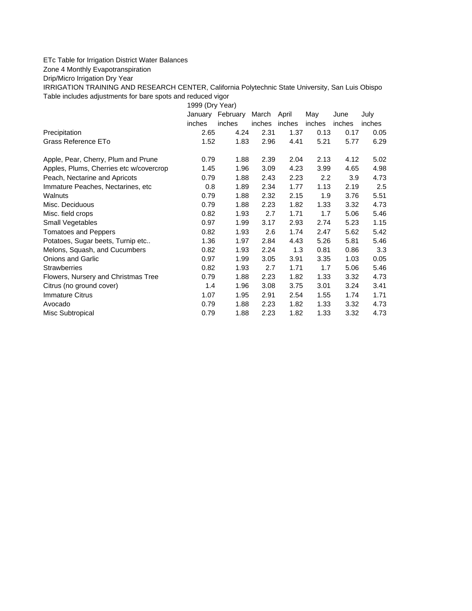## ETc Table for Irrigation District Water Balances

Zone 4 Monthly Evapotranspiration

Drip/Micro Irrigation Dry Year

IRRIGATION TRAINING AND RESEARCH CENTER, California Polytechnic State University, San Luis Obispo Table includes adjustments for bare spots and reduced vigor

1999 (Dry Year) January February March April May June July inches inches inches inches inches inches inches Precipitation 2.65 4.24 2.31 1.37 0.13 0.17 0.05 Grass Reference ETo **1.52** 1.83 2.96 4.41 5.21 5.77 6.29 Apple, Pear, Cherry, Plum and Prune **0.79** 1.88 2.39 2.04 2.13 4.12 5.02 Apples, Plums, Cherries etc w/covercrop 1.45 1.96 3.09 4.23 3.99 4.65 4.98 Peach, Nectarine and Apricots 0.79 1.88 2.43 2.23 2.2 3.9 4.73 Immature Peaches, Nectarines, etc 0.8 1.89 2.34 1.77 1.13 2.19 2.5 Walnuts 0.79 1.88 2.32 2.15 1.9 3.76 5.51 Misc. Deciduous 0.79 1.88 2.23 1.82 1.33 3.32 4.73 Misc. field crops **1.93 2.7 1.71 1.7 5.06 5.46** 1.93 2.7 1.71 1.7 5.06 5.46 Small Vegetables 0.97 1.99 3.17 2.93 2.74 5.23 1.15 Tomatoes and Peppers 0.82 1.93 2.6 1.74 2.47 5.62 5.42 Potatoes, Sugar beets, Turnip etc.. <br>1.36 1.97 2.84 4.43 5.26 5.81 5.46 Melons, Squash, and Cucumbers 0.82 1.93 2.24 1.3 0.81 0.86 3.3 Onions and Garlic 0.97 1.99 3.05 3.91 3.35 1.03 0.05 Strawberries 0.82 1.93 2.7 1.71 1.7 5.06 5.46 Flowers, Nursery and Christmas Tree  $0.79$  1.88 2.23 1.82 1.33 3.32 4.73 Citrus (no ground cover) 1.4 1.96 3.08 3.75 3.01 3.24 3.41 Immature Citrus 1.07 1.95 2.91 2.54 1.55 1.74 1.71 Avocado 0.79 1.88 2.23 1.82 1.33 3.32 4.73 Misc Subtropical 0.79 1.88 2.23 1.82 1.33 3.32 4.73